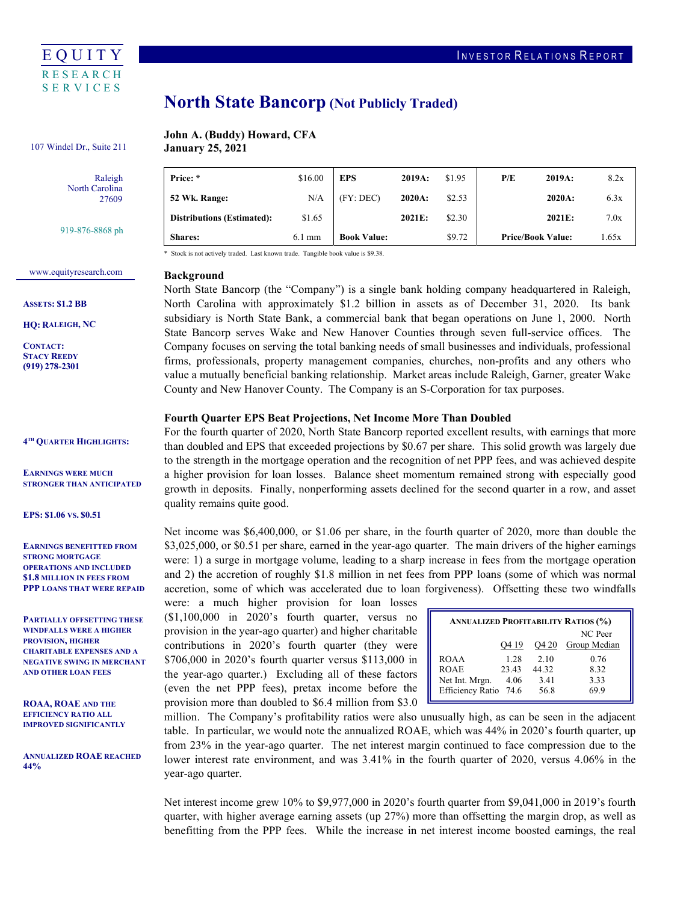

# North State Bancorp (Not Publicly Traded)

### John A. (Buddy) Howard, CFA 107 Windel Dr., Suite 211 **January 25, 2021**

Raleigh North Carolina 27609

919-876-8868 ph

#### Price: \* **52 Wk. Range:**  $N/A$  (FY: DEC) 2020A: \$2.53 2020A: 6.3x Distributions (Estimated): \$1.65 2021E: \$2.30 2021E: 7.0x (FY: DEC) **Book Value:** Price: \* \$16.00 EPS 2019A: \$1.95 P/E 2019A: 8.2x Shares: 6.1 mm Book Value: \$9.72 Price/Book Value: 1.65x

\* Stock is not actively traded. Last known trade. Tangible book value is \$9.38.

### <www.equityresearch.com>

ASSETS: \$1.2 BB

HQ: RALEIGH, NC

CONTACT: STACY REEDY (919) 278-2301

4TH QUARTER HIGHLIGHTS:

 EARNINGS WERE MUCH STRONGER THAN ANTICIPATED

EPS: \$1.06 VS. \$0.51

 EARNINGS BENEFITTED FROM OPERATIONS AND INCLUDED \$1.8 MILLION IN FEES FROM PPP LOANS THAT WERE REPAID STRONG MORTGAGE

 PARTIALLY OFFSETTING THESE WINDFALLS WERE A HIGHER PROVISION, HIGHER CHARITABLE EXPENSES AND A NEGATIVE SWING IN MERCHANT AND OTHER LOAN FEES

 ROAA, ROAE AND THE EFFICIENCY RATIO ALL IMPROVED SIGNIFICANTLY

 ANNUALIZED ROAE REACHED 44%

## Background

 North State Bancorp (the "Company") is a single bank holding company headquartered in Raleigh, North Carolina with approximately \$1.2 billion in assets as of December 31, 2020. Its bank subsidiary is North State Bank, a commercial bank that began operations on June 1, 2000. North State Bancorp serves Wake and New Hanover Counties through seven full-service offices. The Company focuses on serving the total banking needs of small businesses and individuals, professional firms, professionals, property management companies, churches, non-profits and any others who value a mutually beneficial banking relationship. Market areas include Raleigh, Garner, greater Wake County and New Hanover County. The Company is an S-Corporation for tax purposes.

#### Fourth Quarter EPS Beat Projections, Net Income More Than Doubled

 For the fourth quarter of 2020, North State Bancorp reported excellent results, with earnings that more than doubled and EPS that exceeded projections by \$0.67 per share. This solid growth was largely due to the strength in the mortgage operation and the recognition of net PPP fees, and was achieved despite a higher provision for loan losses. Balance sheet momentum remained strong with especially good growth in deposits. Finally, nonperforming assets declined for the second quarter in a row, and asset quality remains quite good.

 Net income was \$6,400,000, or \$1.06 per share, in the fourth quarter of 2020, more than double the \$3,025,000, or \$0.51 per share, earned in the year-ago quarter. The main drivers of the higher earnings were: 1) a surge in mortgage volume, leading to a sharp increase in fees from the mortgage operation and 2) the accretion of roughly \$1.8 million in net fees from PPP loans (some of which was normal accretion, some of which was accelerated due to loan forgiveness). Offsetting these two windfalls

 were: a much higher provision for loan losses (\$1,100,000 in 2020's fourth quarter, versus no provision in the year-ago quarter) and higher charitable contributions in 2020's fourth quarter (they were \$706,000 in 2020's fourth quarter versus \$113,000 in the year-ago quarter.) Excluding all of these factors (even the net PPP fees), pretax income before the provision more than doubled to \$6.4 million from \$3.0

| <b>ANNUALIZED PROFITABILITY RATIOS (%)</b> |       |       |              |  |  |  |  |  |
|--------------------------------------------|-------|-------|--------------|--|--|--|--|--|
|                                            |       |       | NC Peer      |  |  |  |  |  |
|                                            | Q4 19 | Q4 20 | Group Median |  |  |  |  |  |
| <b>ROAA</b>                                | 1.28  | 2.10  | 0.76         |  |  |  |  |  |
| <b>ROAE</b>                                | 23.43 | 44.32 | 8.32         |  |  |  |  |  |
| Net Int. Mrgn.                             | 4.06  | 3.41  | 3.33         |  |  |  |  |  |
| Efficiency Ratio 74.6                      |       | 56.8  | 69.9         |  |  |  |  |  |

 million. The Company's profitability ratios were also unusually high, as can be seen in the adjacent table. In particular, we would note the annualized ROAE, which was 44% in 2020's fourth quarter, up from 23% in the year-ago quarter. The net interest margin continued to face compression due to the lower interest rate environment, and was 3.41% in the fourth quarter of 2020, versus 4.06% in the year-ago quarter.

 Net interest income grew 10% to \$9,977,000 in 2020's fourth quarter from \$9,041,000 in 2019's fourth quarter, with higher average earning assets (up 27%) more than offsetting the margin drop, as well as benefitting from the PPP fees. While the increase in net interest income boosted earnings, the real